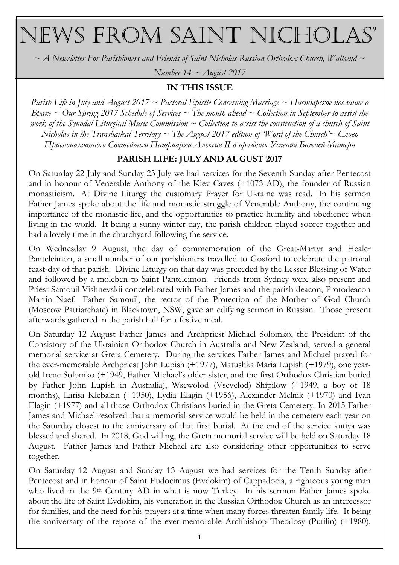# NEWS FROM SAINT NICHOLAS'

 $\sim$  A Newsletter For Parishioners and Friends of Saint Nicholas Russian Orthodox Church, Wallsend  $\sim$ 

Number 14  $\sim$  August 2017

#### IN THIS ISSUE

Parish Life in July and August 2017  $\sim$  Pastoral Epistle Concerning Marriage  $\sim$  Пастырское послание о  $5$  Gare  $\sim$  Our Spring 2017 Schedule of Services  $\sim$  The month ahead  $\sim$  Collection in September to assist the work of the Synodal Liturgical Music Commission  $\sim$  Collection to assist the construction of a church of Saint Nicholas in the Transbaikal Territory  $\sim$  The August 2017 edition of Word of the Church'  $\sim$  Cлово Приснопамятного Святейшего Патриарха Алексия II в праздник Успения Божией Матери

# PARISH LIFE: JULY AND AUGUST 2017

On Saturday 22 July and Sunday 23 July we had services for the Seventh Sunday after Pentecost and in honour of Venerable Anthony of the Kiev Caves (+1073 AD), the founder of Russian monasticism. At Divine Liturgy the customary Prayer for Ukraine was read. In his sermon Father James spoke about the life and monastic struggle of Venerable Anthony, the continuing importance of the monastic life, and the opportunities to practice humility and obedience when living in the world. It being a sunny winter day, the parish children played soccer together and had a lovely time in the churchyard following the service.

On Wednesday 9 August, the day of commemoration of the Great-Martyr and Healer Panteleimon, a small number of our parishioners travelled to Gosford to celebrate the patronal feast-day of that parish. Divine Liturgy on that day was preceded by the Lesser Blessing of Water and followed by a moleben to Saint Panteleimon. Friends from Sydney were also present and Priest Samouil Vishnevskii concelebrated with Father James and the parish deacon, Protodeacon Martin Naef. Father Samouil, the rector of the Protection of the Mother of God Church (Moscow Patriarchate) in Blacktown, NSW, gave an edifying sermon in Russian. Those present afterwards gathered in the parish hall for a festive meal.

On Saturday 12 August Father James and Archpriest Michael Solomko, the President of the Consistory of the Ukrainian Orthodox Church in Australia and New Zealand, served a general memorial service at Greta Cemetery. During the services Father James and Michael prayed for the ever-memorable Archpriest John Lupish (+1977), Matushka Maria Lupish (+1979), one yearold Irene Solomko (+1949, Father Michael's older sister, and the first Orthodox Christian buried by Father John Lupish in Australia), Wsewolod (Vsevelod) Shipilow (+1949, a boy of 18 months), Larisa Klebakin (+1950), Lydia Elagin (+1956), Alexander Melnik (+1970) and Ivan Elagin (+1977) and all those Orthodox Christians buried in the Greta Cemetery. In 2015 Father James and Michael resolved that a memorial service would be held in the cemetery each year on the Saturday closest to the anniversary of that first burial. At the end of the service kutiya was blessed and shared. In 2018, God willing, the Greta memorial service will be held on Saturday 18 August. Father James and Father Michael are also considering other opportunities to serve together.

On Saturday 12 August and Sunday 13 August we had services for the Tenth Sunday after Pentecost and in honour of Saint Eudocimus (Evdokim) of Cappadocia, a righteous young man who lived in the 9<sup>th</sup> Century AD in what is now Turkey. In his sermon Father James spoke about the life of Saint Evdokim, his veneration in the Russian Orthodox Church as an intercessor for families, and the need for his prayers at a time when many forces threaten family life. It being the anniversary of the repose of the ever-memorable Archbishop Theodosy (Putilin) (+1980),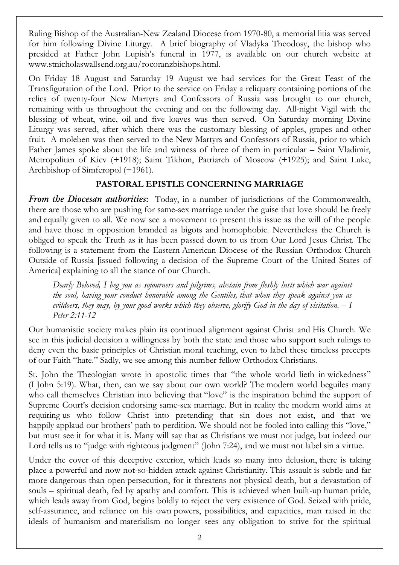Ruling Bishop of the Australian-New Zealand Diocese from 1970-80, a memorial litia was served for him following Divine Liturgy. A brief biography of Vladyka Theodosy, the bishop who presided at Father John Lupish's funeral in 1977, is available on our church website at www.stnicholaswallsend.org.au/rocoranzbishops.html.

On Friday 18 August and Saturday 19 August we had services for the Great Feast of the Transfiguration of the Lord. Prior to the service on Friday a reliquary containing portions of the relics of twenty-four New Martyrs and Confessors of Russia was brought to our church, remaining with us throughout the evening and on the following day. All-night Vigil with the blessing of wheat, wine, oil and five loaves was then served. On Saturday morning Divine Liturgy was served, after which there was the customary blessing of apples, grapes and other fruit. A moleben was then served to the New Martyrs and Confessors of Russia, prior to which Father James spoke about the life and witness of three of them in particular – Saint Vladimir, Metropolitan of Kiev (+1918); Saint Tikhon, Patriarch of Moscow (+1925); and Saint Luke, Archbishop of Simferopol (+1961).

# PASTORAL EPISTLE CONCERNING MARRIAGE

**From the Diocesan authorities:** Today, in a number of jurisdictions of the Commonwealth, there are those who are pushing for same-sex marriage under the guise that love should be freely and equally given to all. We now see a movement to present this issue as the will of the people and have those in opposition branded as bigots and homophobic. Nevertheless the Church is obliged to speak the Truth as it has been passed down to us from Our Lord Jesus Christ. The following is a statement from the Eastern American Diocese of the Russian Orthodox Church Outside of Russia [issued following a decision of the Supreme Court of the United States of America] explaining to all the stance of our Church.

Dearly Beloved, I beg you as sojourners and pilgrims, abstain from fleshly lusts which war against the soul, having your conduct honorable among the Gentiles, that when they speak against you as evildoers, they may, by your good works which they observe, glorify God in the day of visitation.  $-I$ Peter 2:11-12

Our humanistic society makes plain its continued alignment against Christ and His Church. We see in this judicial decision a willingness by both the state and those who support such rulings to deny even the basic principles of Christian moral teaching, even to label these timeless precepts of our Faith "hate." Sadly, we see among this number fellow Orthodox Christians.

St. John the Theologian wrote in apostolic times that "the whole world lieth in wickedness" (I John 5:19). What, then, can we say about our own world? The modern world beguiles many who call themselves Christian into believing that "love" is the inspiration behind the support of Supreme Court's decision endorsing same-sex marriage. But in reality the modern world aims at requiring us who follow Christ into pretending that sin does not exist, and that we happily applaud our brothers' path to perdition. We should not be fooled into calling this "love," but must see it for what it is. Many will say that as Christians we must not judge, but indeed our Lord tells us to "judge with righteous judgment" (John 7:24), and we must not label sin a virtue.

Under the cover of this deceptive exterior, which leads so many into delusion, there is taking place a powerful and now not-so-hidden attack against Christianity. This assault is subtle and far more dangerous than open persecution, for it threatens not physical death, but a devastation of souls – spiritual death, fed by apathy and comfort. This is achieved when built-up human pride, which leads away from God, begins boldly to reject the very existence of God. Seized with pride, self-assurance, and reliance on his own powers, possibilities, and capacities, man raised in the ideals of humanism and materialism no longer sees any obligation to strive for the spiritual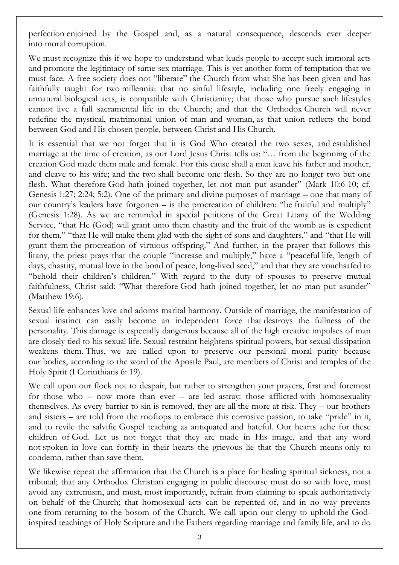perfection enjoined by the Gospel and, as a natural consequence, descends ever deeper into moral corruption.

We must recognize this if we hope to understand what leads people to accept such immoral acts and promote the legitimacy of same-sex marriage. This is yet another form of temptation that we must face. A free society does not "liberate" the Church from what She has been given and has faithfully taught for two millennia: that no sinful lifestyle, including one freely engaging in unnatural biological acts, is compatible with Christianity; that those who pursue such lifestyles cannot live a full sacramental life in the Church; and that the Orthodox Church will never redefine the mystical, matrimonial union of man and woman, as that union reflects the bond between God and His chosen people, between Christ and His Church.

It is essential that we not forget that it is God Who created the two sexes, and established marriage at the time of creation, as our Lord Jesus Christ tells us: "… from the beginning of the creation God made them male and female. For this cause shall a man leave his father and mother, and cleave to his wife; and the two shall become one flesh. So they are no longer two but one flesh. What therefore God hath joined together, let not man put asunder" (Mark 10:6-10; cf. Genesis 1:27; 2:24; 5:2). One of the primary and divine purposes of marriage – one that many of our country's leaders have forgotten – is the procreation of children: "be fruitful and multiply" (Genesis 1:28). As we are reminded in special petitions of the Great Litany of the Wedding Service, "that He (God) will grant unto them chastity and the fruit of the womb as is expedient for them," "that He will make them glad with the sight of sons and daughters," and "that He will grant them the procreation of virtuous offspring." And further, in the prayer that follows this litany, the priest prays that the couple "increase and multiply," have a "peaceful life, length of days, chastity, mutual love in the bond of peace, long-lived seed," and that they are vouchsafed to "behold their children's children." With regard to the duty of spouses to preserve mutual faithfulness, Christ said: "What therefore God hath joined together, let no man put asunder" (Matthew 19:6).

Sexual life enhances love and adorns marital harmony. Outside of marriage, the manifestation of sexual instinct can easily become an independent force that destroys the fullness of the personality. This damage is especially dangerous because all of the high creative impulses of man are closely tied to his sexual life. Sexual restraint heightens spiritual powers, but sexual dissipation weakens them. Thus, we are called upon to preserve our personal moral purity because our bodies, according to the word of the Apostle Paul, are members of Christ and temples of the Holy Spirit (I Corinthians 6: 19).

We call upon our flock not to despair, but rather to strengthen your prayers, first and foremost for those who – now more than ever – are led astray: those afflicted with homosexuality themselves. As every barrier to sin is removed, they are all the more at risk. They – our brothers and sisters – are told from the rooftops to embrace this corrosive passion, to take "pride" in it, and to revile the salvific Gospel teaching as antiquated and hateful. Our hearts ache for these children of God. Let us not forget that they are made in His image, and that any word not spoken in love can fortify in their hearts the grievous lie that the Church means only to condemn, rather than save them.

We likewise repeat the affirmation that the Church is a place for healing spiritual sickness, not a tribunal; that any Orthodox Christian engaging in public discourse must do so with love, must avoid any extremism, and must, most importantly, refrain from claiming to speak authoritatively on behalf of the Church; that homosexual acts can be repented of, and in no way prevents one from returning to the bosom of the Church. We call upon our clergy to uphold the Godinspired teachings of Holy Scripture and the Fathers regarding marriage and family life, and to do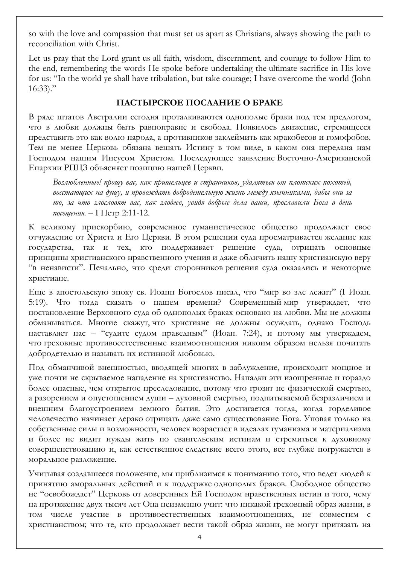so with the love and compassion that must set us apart as Christians, always showing the path to reconciliation with Christ.

Let us pray that the Lord grant us all faith, wisdom, discernment, and courage to follow Him to the end, remembering the words He spoke before undertaking the ultimate sacrifice in His love for us: "In the world ye shall have tribulation, but take courage; I have overcome the world (John  $16:33$ ."

# ПАСТЫРСКОЕ ПОСЛАНИЕ О БРАКЕ

В ряде штатов Австралии сегодня проталкиваются однополые браки под тем предлогом, что в любви должны быть равноправие и свобода. Появилось движение, стремящееся представить это как волю народа, а противников заклеймить как мракобесов и гомофобов. Тем не менее Церковь обязана вещать Истину в том виде, в каком она передана нам Господом нашим Иисусом Христом. Последующее заявление Восточно-Американской Епархии РПЦЗ объясняет позицию нашей Церкви.

Возлюбленные! прошу вас, как пришельцев и странников, удаляться от плотских похотей, восстающих на душу, и провождать добродетельную жизнь между язычниками, дабы они за то, за что злословят вас, как злодеев, увидя добрые дела ваши, прославили Бога в день посещения. - I Петр 2:11-12.

К великому прискорбию, современное гуманистическое общество продолжает свое отчуждение от Христа и Его Церкви. В этом решении суда просматривается желание как государства, так и тех, кто поддерживает решение суда, отрицать основные принципы христианского нравственного учения и даже обличить нашу христианскую веру "в ненависти". Печально, что среди сторонников решения суда оказались и некоторые христиане.

Еще в апостольскую эпоху св. Иоанн Богослов писал, что "мир во зле лежит" (І Иоан. 5:19). Что тогда сказать о нашем времени? Современный мир утверждает, что постановление Верховного суда об однополых браках основано на любви. Мы не должны обманываться. Mногие скажут, что христиане не должны осуждать, однако Господь наставляет нас – "судите судом праведным" (Иоан. 7:24), и потому мы утверждаем, что греховные противоестественные взаимоотношения никоим образом нельзя почитать добродетелью и называть их истинной любовью.

Под обманчивой внешностью, вводящей многих в заблуждение, происходит мощное и уже почти не скрываемое нападение на христианство. Нападки эти изощренные и гораздо более опасные, чем открытое преследование, потому что грозят не физической смертью, а разорением и опустошением души – духовной смертью, подпитываемой безразличием и внешним благоустроением земного бытия. Это достигается тогда, когда горделивое человечество начинает дерзко отрицать даже само существование Бога. Уповая только на собственные силы и возможности, человек возрастает в идеалах гуманизма и материализма и более не видит нужды жить по евангельским истинам и стремиться к духовному совершенствованию и, как естественное следствие всего этого, все глубже погружается в моральное разложение.

Учитывая создавшееся положение, мы приблизимся к пониманию того, что ведет людей к принятию аморальных действий и к поддержке однополых браков. Свободное общество не "освобождает" Церковь от доверенных Ей Господом нравственных истин и того, чему на протяжение двух тысяч лет Она неизменно учит: что никакой греховный образ жизни, в том числе участие в противоестественных взаимоотношениях, не совместим с христианством; что те, кто продолжает вести такой образ жизни, не могут притязать на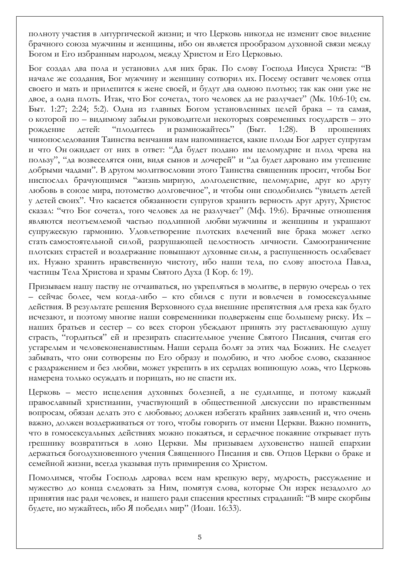полноту участия в литургической жизни; и что Церковь никогда не изменит свое видение брачного союза мужчины и женщины, ибо он является прообразом духовной связи между Богом и Его избранным народом, между Христом и Его Церковью.

Бог создал два пола и установил для них брак. По слову Господа Иисуса Христа: "В начале же создания, Бог мужчину и женщину сотворил их. Посему оставит человек отца своего и мать и прилепится к жене своей, и будут два одною плотью; так как они уже не двое, а одна плоть. Итак, что Бог сочетал, того человек да не разлучает" (Мк. 10:6-10; см. Быт. 1:27; 2:24; 5:2). Одна из главных Богом установленных целей брака – та самая, о которой по – видимому забыли руководители некоторых современных государств – это рождение детей: "плодитесь и размножайтесь" (Быт. 1:28). В прошениях чинопоследования Таинства венчания нам напоминается, какие плоды Бог дарует супругам и что Он ожидает от них в ответ: "Да будет подано им целомудрие и плод чрева на пользу", "да возвеселятся они, видя сынов и дочерей" и "да будет даровано им утешение добрыми чадами". В другом молитвословии этого Таинства священник просит, чтобы Бог ниспослал брачующимся "жизнь мирную, долгоденствие, целомудрие, друг ко другу любовь в союзе мира, потомство долговечное", и чтобы они сподобились "увидеть детей у детей своих". Что касается обязанности супругов хранить верность друг другу, Христос сказал: "что Бог сочетал, того человек да не разлучает" (Мф. 19:6). Брачные отношения являются неотъемлемой частью подлинной любви мужчины и женщины и украшают супружескую гармонию. Удовлетворение плотских влечений вне брака может легко стать самостоятельной силой, разрушающей целостность личности. Самоограничение плотских страстей и воздержание повышают духовные силы, а распущенность ослабевает их. Нужно хранить нравственную чистоту, ибо наши тела, по слову апостола Павла, частицы Тела Христова и храмы Святого Духа (I Кор. 6: 19).

Призываем нашу паству не отчаиваться, но укрепляться в молитве, в первую очередь о тех – сейчас более, чем когда-либо – кто сбился с пути и вовлечен в гомосексуальные действия. В результате решения Верховного суда внешние препятствия для греха как будто исчезают, и поэтому многие наши современники подвержены еще большему риску. Их – наших братьев и сестер – со всех сторон убеждают принять эту растлевающую душу страсть, "гордиться" ей и презирать спасительное учение Святого Писания, считая его устарелым и человеконенавистным. Наши сердца болят за этих чад Божиих. Не следует забывать, что они сотворены по Его образу и подобию, и что любое слово, сказанное с раздражением и без любви, может укрепить в их сердцах вопиющую ложь, что Церковь намерена только осуждать и порицать, но не спасти их.

Церковь – место исцеления духовных болезней, а не судилище, и потому каждый православный христианин, участвующий в общественной дискуссии по нравственным вопросам, обязан делать это с любовью; должен избегать крайних заявлений и, что очень важно, должен воздерживаться от того, чтобы говорить от имени Церкви. Важно помнить, что в гомосексуальных действиях можно покаяться, и сердечное покаяние открывает путь грешнику возвратиться в лоно Церкви. Мы призываем духовенство нашей епархии держаться богодухновенного учения Священного Писания и свв. Отцов Церкви о браке и семейной жизни, всегда указывая путь примирения со Христом.

Помолимся, чтобы Господь даровал всем нам крепкую веру, мудрость, рассуждение и мужество до конца следовать за Ним, помятуя слова, которые Он изрек незадолго до принятия нас ради человек, и нашего ради спасения крестных страданий: "В мире скорбны будете, но мужайтесь, ибо Я победил мир" (Иоан. 16:33).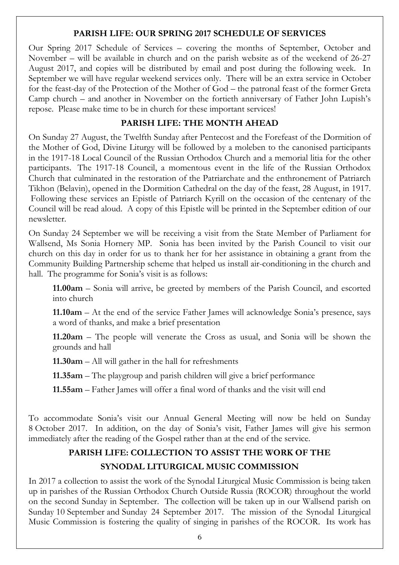#### PARISH LIFE: OUR SPRING 2017 SCHEDULE OF SERVICES

Our Spring 2017 Schedule of Services – covering the months of September, October and November – will be available in church and on the parish website as of the weekend of 26-27 August 2017, and copies will be distributed by email and post during the following week. In September we will have regular weekend services only. There will be an extra service in October for the feast-day of the Protection of the Mother of God – the patronal feast of the former Greta Camp church – and another in November on the fortieth anniversary of Father John Lupish's repose. Please make time to be in church for these important services!

#### PARISH LIFE: THE MONTH AHEAD

On Sunday 27 August, the Twelfth Sunday after Pentecost and the Forefeast of the Dormition of the Mother of God, Divine Liturgy will be followed by a moleben to the canonised participants in the 1917-18 Local Council of the Russian Orthodox Church and a memorial litia for the other participants. The 1917-18 Council, a momentous event in the life of the Russian Orthodox Church that culminated in the restoration of the Patriarchate and the enthronement of Patriarch Tikhon (Belavin), opened in the Dormition Cathedral on the day of the feast, 28 August, in 1917. Following these services an Epistle of Patriarch Kyrill on the occasion of the centenary of the Council will be read aloud. A copy of this Epistle will be printed in the September edition of our newsletter.

On Sunday 24 September we will be receiving a visit from the State Member of Parliament for Wallsend, Ms Sonia Hornery MP. Sonia has been invited by the Parish Council to visit our church on this day in order for us to thank her for her assistance in obtaining a grant from the Community Building Partnership scheme that helped us install air-conditioning in the church and hall. The programme for Sonia's visit is as follows:

11.00am – Sonia will arrive, be greeted by members of the Parish Council, and escorted into church

11.10am – At the end of the service Father James will acknowledge Sonia's presence, says a word of thanks, and make a brief presentation

11.20am – The people will venerate the Cross as usual, and Sonia will be shown the grounds and hall

11.30am – All will gather in the hall for refreshments

11.35am – The playgroup and parish children will give a brief performance

11.55am – Father James will offer a final word of thanks and the visit will end

To accommodate Sonia's visit our Annual General Meeting will now be held on Sunday 8 October 2017. In addition, on the day of Sonia's visit, Father James will give his sermon immediately after the reading of the Gospel rather than at the end of the service.

# PARISH LIFE: COLLECTION TO ASSIST THE WORK OF THE SYNODAL LITURGICAL MUSIC COMMISSION

In 2017 a collection to assist the work of the Synodal Liturgical Music Commission is being taken up in parishes of the Russian Orthodox Church Outside Russia (ROCOR) throughout the world on the second Sunday in September. The collection will be taken up in our Wallsend parish on Sunday 10 September and Sunday 24 September 2017. The mission of the Synodal Liturgical Music Commission is fostering the quality of singing in parishes of the ROCOR. Its work has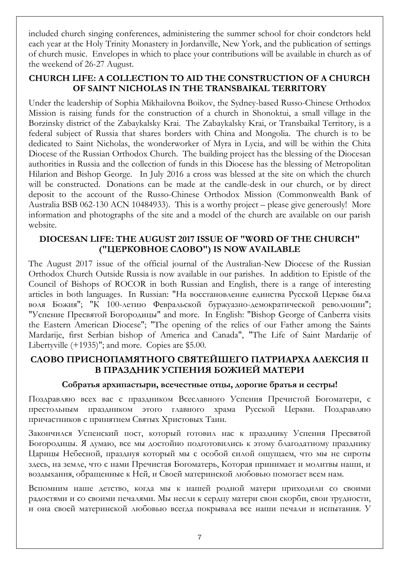included church singing conferences, administering the summer school for choir condctors held each year at the Holy Trinity Monastery in Jordanville, New York, and the publication of settings of church music. Envelopes in which to place your contributions will be available in church as of the weekend of 26-27 August.

# CHURCH LIFE: A COLLECTION TO AID THE CONSTRUCTION OF A CHURCH OF SAINT NICHOLAS IN THE TRANSBAIKAL TERRITORY

Under the leadership of Sophia Mikhailovna Boikov, the Sydney-based Russo-Chinese Orthodox Mission is raising funds for the construction of a church in Shonoktui, a small village in the Borzinsky district of the Zabaykalsky Krai. The Zabaykalsky Krai, or Transbaikal Territory, is a federal subject of Russia that shares borders with China and Mongolia. The church is to be dedicated to Saint Nicholas, the wonderworker of Myra in Lycia, and will be within the Chita Diocese of the Russian Orthodox Church. The building project has the blessing of the Diocesan authorities in Russia and the collection of funds in this Diocese has the blessing of Metropolitan Hilarion and Bishop George. In July 2016 a cross was blessed at the site on which the church will be constructed. Donations can be made at the candle-desk in our church, or by direct deposit to the account of the Russo-Chinese Orthodox Mission (Commonwealth Bank of Australia BSB 062-130 ACN 10484933). This is a worthy project – please give generously! More information and photographs of the site and a model of the church are available on our parish website.

# DIOCESAN LIFE: THE AUGUST 2017 ISSUE OF "WORD OF THE CHURCH" ("ЦЕРКОВНОЕ СЛОВО") IS NOW AVAILABLE

The August 2017 issue of the official journal of the Australian-New Diocese of the Russian Orthodox Church Outside Russia is now available in our parishes. In addition to Epistle of the Council of Bishops of ROCOR in both Russian and English, there is a range of interesting articles in both languages. In Russian: "На восстановление единства Русской Церкве была воля Божия"; "К 100-летию Февральской буржуазно-демократической революции"; "Успение Пресвятой Богородицы" and more. In English: "Bishop George of Canberra visits the Eastern American Diocese"; "The opening of the relics of our Father among the Saints Mardarije, first Serbian bishop of America and Canada", "The Life of Saint Mardarije of Libertyville (+1935)"; and more. Copies are \$5.00.

# СЛОВО ПРИСНОПАМЯТНОГО СВЯТЕЙШЕГО ПАТРИАРХА АЛЕКСИЯ II В ПРАЗДНИК УСПЕНИЯ БОЖИЕЙ МАТЕРИ

#### Собратья архипастыри, всечестные отцы, дорогие братья и сестры!

Поздравляю всех вас с праздником Всеславного Успения Пречистой Богоматери, с престольным праздником этого главного храма Русской Церкви. Поздравляю причастников с принятием Святых Христовых Таин.

Закончился Успенский пост, который готовил нас к празднику Успения Пресвятой Богородицы. Я думаю, все мы достойно подготовились к этому благодатному празднику Царицы Небесной, празднуя который мы с особой силой ощущаем, что мы не сироты здесь, на земле, что с нами Пречистая Богоматерь, Которая принимает и молитвы наши, и воздыхания, обращенные к Ней, и Своей материнской любовью помогает всем нам.

Вспомним наше детство, когда мы к нашей родной матери приходили со своими радостями и со своими печалями. Мы несли к сердцу матери свои скорби, свои трудности, и она своей материнской любовью всегда покрывала все наши печали и испытания. У